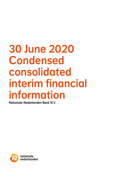# 30 June 2020 Condensed consolidated interim financial information

Nationale-Nederlanden Bank N.V.

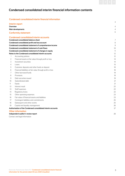# Condensed consolidated interim financial information contents

# Condensed consolidated interim financial information

|                | Interim report                                               | 4              |
|----------------|--------------------------------------------------------------|----------------|
| Overview       |                                                              | 4              |
|                | <b>Main developments</b>                                     | 4              |
|                | <b>Conformity statement</b>                                  | 6              |
|                | <b>Condensed consolidated interim accounts</b>               |                |
|                | <b>Condensed consolidated balance sheet</b>                  | $\overline{7}$ |
|                | Condensed consolidated profit and loss account               | 8              |
|                | Condensed consolidated statement of comprehensive income     | 9              |
|                | <b>Condensed consolidated statement of cash flows</b>        | 10             |
|                | Condensed consolidated statement of changes in equity        | 11             |
|                | Notes to the Condensed consolidated interim accounts         | 12             |
| 1              | Accounting policies                                          | 12             |
| 2              | Financial assets at fair value through profit or loss        | 14             |
| 3              | Investment securities                                        | 14             |
| 4              | Loans                                                        | 15             |
| 5              | Customer deposits and other funds on deposit                 | 18             |
| 6              | Financial liabilities at fair value through profit or loss   | 18             |
| 7              | Other borrowed funds                                         | 19             |
| 8              | Provisions                                                   | 19             |
| $\overline{9}$ | Debt securities issued                                       | 19             |
| 10             | Subordinated debt                                            | 21             |
| 11             | Equity                                                       | 21             |
| 12             | Interest result                                              | 22             |
| 13             | Staff expenses                                               | 22             |
| 14             | Regulatory levies                                            | 22             |
| 15             | Other operating expenses                                     | 23             |
| 16             | Fair value of financial assets and liabilities               | 23             |
| 17             | Contingent liabilities and commitments                       | 25             |
| 18             | Subsequent and other events                                  | 25             |
| 19             | Capital and liquidity management                             | 26             |
|                | Authorisation of the Condensed consolidated interim accounts | 27             |
|                | <b>Other information</b>                                     |                |
|                | Independent auditor's review report                          | 28             |

Contact and legal information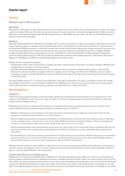

# Interim report

# **Overview**

NN Bank is part of NN Group N.V.

# NN Group

NN Group N.V. (NN Group) is an international financial services company, active in 18 countries, with a strong presence in a number of European countries and Japan. NN Group offers retirement services, pensions, insurance, investments and banking to approximately 18 million customers. NN Group includes Nationale-Nederlanden, NN, NN Investment Partners, ABN AMRO Insurance, Movir, AZL, BeFrank and OHRA. NN Group is listed on Euronext Amsterdam (NN).

## NN Bank

Nationale-Nederlanden Bank N.V. (NN Bank) was founded in 2011 as a Dutch retail bank. It is a fully owned subsidiary of NN Group, and its broad range of banking products is complementary to Nationale-Nederlanden's individual life and non-life insurance products for retail customers in the Netherlands. NN Bank's purpose is to help retail customers secure their financial futures: helping them manage and protect their assets and income through mortgage loans, (internet) savings, bank annuities, consumer lending and retail investment products. In addition, NN Bank provides mortgage administration and management services to ING Bank N.V. (formerly WestlandUtrecht Bank), Nationale-Nederlanden Levensverzekering Maatschappij N.V. (NN Leven), Nationale-Nederlanden Schadeverzekering Maatschappij N.V. (NN Schade), NN Insurance Belgium N.V. (NN Belgium), the NN Dutch Residential Mortgage Fund and other entities.

#### NN Bank has three fully owned subsidiaries:

- HQ Hypotheken 50 B.V., which was founded on 21 August 2012 with a registered office in Rotterdam. Through this subsidiary, NN Bank offers mortgage loans to customers via a business partner.
- Nationale-Nederlanden Beleggingsrekening N.V. This is a dormant company, currently not conducting any business or other activities.
- Woonnu B.V., which was founded on 13 August 2019 with its statutory seat in The Hague. Via Woonnu B.V., NN Bank intends to originate mortgage loans under a new label. NN Bank has obtained an AFM licence for Woonnu B.V. Woonnu B.V. did not perform any business during the first half of 2020.

The Hypenn RMBS entities (I, IV, V, VI and VII), Arena NHG 2016-I entity, NN Conditional Pass-Through Covered Bond Company B.V. and NN Covered Bond Company B.V. are not subsidiaries of NN Bank. Since NN Bank has control over the structured entities, these special-purpose entities (SPEs) have been consolidated as group companies. Arena NHG 2014-II was called in April 2020.

# Main developments

#### COVID-19

COVID-19 has had a substantial impact on financial markets, global trade, manufacturing and travel and also has a negative impact on the markets in which NN Bank is active. However, to date, the impact on the Dutch mortgage market has been limited and the Euro wholesale funding market has largely recovered.

NN Bank's key priorities are to safeguard the well-being of our employees and provide an uninterrupted service to our customers. In that respect, NN Bank has taken several measures to mitigate the immediate impact of COVID-19:

- ∙ NN Bank is following the recommendations of the Dutch government with nearly all of our employees working from home and only employees in essential functions working from our office locations
- ∙ Payment holidays (postponement of payments) are offered on an individual basis to borrowers who face temporary payment difficulties on their mortgage loans or consumer loans. As at 30 June 2020, NN Bank had granted a payment holiday to 0.7% of its mortgage loan customers. It is reasonable to expect that this percentage will increase over the course of 2020.
- ∙ Sufficient (backup) liquidity and funding alternatives have been put in place, hence for the foreseeable future no significant difficulties are expected in refinancing our funding positions and liquidity positions which are expected to remain comfortably above regulatory and internal limits
- ∙ No final dividend over 2019 was paid and no interim dividend over 2020 will be proposed. With this, NN Bank follows the recommendation issued by the ECB in view of the current COVID-19 situation to refrain from dividend payments until 1 January 2021. NN Bank intends to resume dividend payments at such time that is appropriate in light of COVID-19 developments.

Although the financial impact to date is limited to a slight increase in risk costs due to payments holidays and the application of revised macroeconomic outlooks, the expenses incurred to increase capacity at loan servicing and the measures to increase (back up) liquidity, COVID-19 is likely to continue to impact NN Bank in the coming period.

# Further diversification of funding sources

NN Bank has a strong funding and liquidity position. NN Bank has a diversified funding base and in addition can rely on its current liquid assets and the available committed facilities in combination with access to facilities offered by the ECB. In light of the volatile funding market in the first half of 2020, close monitoring and preventive measures were taken to keep the funding and liquidity position sound. In the first half of 2020 retail savings in the Netherlands and deposits in Spain grew steadily, which had a positive impact on the liquidity position. In June 2020, the new Soft Bullet Covered Bond programme was launched to benefit from increased investor demand for this type of funding. The Soft Bullet Covered Bond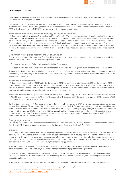

# Interim report continued

programme is an important addition to NN Bank's funding base. NN Bank completed its first EUR 500 million issue under the programme on 30 June 2020 with settlement on 8 July 2020.

Furthermore, additional contingent liquidity in the form of a retained RMBS, Hypenn VII with just under EUR 2.0 billion of senior notes was created on 11 June 2020. If needed, the Hypenn VII can be used as collateral with the ECB or in other repo transactions to attract funding. In April 2020, NN Bank called the Arena NHG 2014-II transaction at its first optional redemption date.

## Advanced Internal Rating-Based methodology and definition of default

NN Bank has the ambition to apply the Advanced Internal Ratings Based (A-IRB) methodology to determine its capital position for credit risk under Pillar 1 capital requirements. NN Bank is currently preparing its application for A-IRB, as well as the implementation of the new definition of default (DoD) to comply with the European Banking Authority (EBA) Guidelines. These guidelines harmonise the definition of default across the EU prudential framework and improve consistency in the way EU banks apply regulatory requirements to their capital positions. This project (within the A-IRB programme) aims to have NN Bank ready by the end of this year to report in accordance with the new default definition and redevelop the models in line with this definition in 2021. Reference is made to Note 1 Accounting policies for the impact of the new definition of default.

# Completion of integration NN Bank and Delta Lloyd Bank

Following the completion of the integration of the Delta Lloyd Bank's savings and investment operations, further progress was made with the integration in the first half of 2020, with the following results reached:

- ∙ Decommissioning of former Delta Lloyd systems for Savings & Investments
- ∙ Migration of customers with a Delta Lloyd Bank mortgage to NN Bank systems was prepared, migration has taken place in July 2020.

The Amsterdam District Court rejected all claims by consumer organisations Consumentenbond and Vereniging Eigen Huis against Amstelhuys on 15 January 2020 (Amstelhuys is now NN Bank as a result of the legal merger between Amstelhuys and NN Bank as of 1 December 2019). The decision has become final.

#### Key financial developments

NN Bank reported a net result of EUR 61.7 million for the first half of 2020. The cost/income ratio<sup>1</sup> improved to 51.0% in the first half of 2020 compared with 56.6% in the first half of 2019. The return on equity increased from 10.4% in the first half 2019 to 11.9% in the first half of 2020. Both improved ratios reflect the increase in total income compared with the first half of 2019. This increase was mainly driven by an increase in mortgage origination, prepayment penalties and lower wholesale funding expenses.

The balance sheet remained strong in terms of capital and liquidity. The Common Equity Tier 1 (CET1) ratio was 16.7% and total capital ratio was 18.1% at 30 June 2020, compared with 15.7% and 17.2% respectively at 31 December 2019. The liquidity coverage ratio (LCR) increased to 193% at 30 June 2020 from 173% at 31 December 2019.

Total mortgages originated by NN Bank amounted to EUR 4.4 billion in the first six months of 2020, an increase compared with the same period last year (EUR 3.7 billion). Of this amount, EUR 2.9 billion was originated on behalf of NN Group entities and the NN Dutch Residential Mortgage Fund and the remainder was originated for NN Bank's balance sheet. The loans (predominantly mortgage loans) on the balance sheet increased to EUR 20.8 billion from EUR 20.0 billion at year-end 2019, driven by the aforementioned originations and the effect of the application of hedge accounting on the valuation of the hedged items (i.e. mortgages), partially offset by redemptions. Customer deposits increased from EUR 15.1 billion at year-end 2019 to EUR 15.5 billion at 30 June 2020.

#### Change in governance

On 1January 2020, Jan-Hendrik Erasmus resigned as member of the Supervisory Board of NN Bank, whereupon Guus Schoorlemmer, Head of Risk Oversight NN Group, was appointed as a member of the Supervisory Board of NN Bank on 21 April 2020.

#### **Outlook**

Looking ahead, the Dutch economy is in unfamiliar territory. Never before has the start of a recession been caused by shutting down parts of the economy. Various institutions published adjusted economic outlooks and scenarios which include possible impacts of the pandemic on the economy, as well as the effect of government support measures. For its own economic scenario, NN Bank takes into account the scenarios of the Dutch Central Planning Bureau (CPB), International Monetary Fund (IMF) and Dutch Central Bank (DNB). NN Bank will continue to monitor developments around COVID-19 and will adjust assumptions used where appropriate.

We expect the results of NN Bank for the second half of 2020 might be further impacted by increased levels of risk costs (loan loss provisions) and higher operating expenses, particularly in the arrears management and mortgage acceptance departments.

NN Bank will continue to strengthen its relationship with customers and help customers at the relevant moments in life that matter, especially in this COVID-19 period. Also NN Bank continues to work on improving our data governance, data quality and data management processes, capabilities and tooling.

To balance our business model, NN Bank will expand its services for external institutional investors in our role as mortgage orchestrator.

1 The cost/income ratio is calculated as staff expenses plus other expenses minus regulatory levies divided by total income.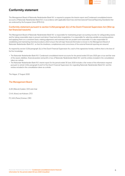

# Conformity statement

The Management Board of Nationale-Nederlanden Bank N.V. is required to prepare the Interim report and Condensed consolidated interim accounts of Nationale-Nederlanden Bank N.V. in accordance with applicable Dutch law and International Financial Reporting Standards that are endorsed by the European Union (IFRS-EU).

# Conformity statement pursuant to section 5:25d paragraph 2(c) of the Dutch Financial Supervision Act (Wet op het financieel toezicht)

The Management Board of Nationale-Nederlanden Bank N.V. is responsible for maintaining proper accounting records, for safeguarding assets and for taking reasonable steps to prevent and detect fraud and other irregularities. It is responsible for selecting suitable accounting policies and applying them on a consistent basis, making judgements and estimates that are prudent and reasonable. It is also responsible for establishing and maintaining internal procedures which ensure that all major financial information is known to the Management Board of Nationale-Nederlanden Bank N.V., so that the timeliness, completeness and correctness of the external financial reporting are assured.

As required by section 5:25d paragraph 2(c) of the Dutch Financial Supervision Act, each of the signatories hereby confirms that to the best of his/her knowledge:

- ∙ The Nationale-Nederlanden Bank N.V. Condensed consolidated interim accounts for the period ended 30 June 2020 give a true and fair view of the assets, liabilities, financial position and profit or loss of Nationale-Nederlanden Bank N.V. and the entities included in the consolidation taken as a whole.
- ∙ The Nationale-Nederlanden Bank N.V. interim report for the period ended 30 June 2020 includes a fair review of the information required pursuant to article 5.25d, paragraph 8 and 9 of the Dutch Financial Supervision Act regarding Nationale-Nederlanden Bank N.V. and the entities included in the consolidation taken as a whole.

The Hague, 27 August 2020

# The Management Board

A.J.M. (Marcel) Zuidam, CEO and chair

C.H.A. (Kees) van Kalveen, CFO

P.C.A.M. (Pieter) Emmen, CRO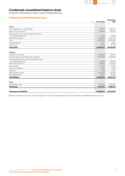

# Condensed consolidated balance sheet

Amounts in thousands of euros, unless stated otherwise

# Condensed consolidated balance sheet

| notes                                                       | 30 June 2020 | 31 December<br>2019 |
|-------------------------------------------------------------|--------------|---------------------|
|                                                             |              |                     |
| Assets                                                      |              |                     |
| Cash and balances at central banks                          | 1,119,553    | 1,660,465           |
| Amounts due from banks                                      | 498,549      | 658,432             |
| Financial assets at fair value through profit or loss:      |              |                     |
| $\overline{2}$<br>- non-trading derivatives                 | 73.547       | 88.198              |
| 3<br>Investment securities                                  | 1.884.523    | 2,027,326           |
| 4<br>Loans                                                  | 20.837.448   | 20,003,922          |
| Intangible assets                                           | 18,052       | 13,683              |
| Other assets                                                | 226,751      | 210,778             |
| <b>Total assets</b>                                         | 24,658,423   | 24,662,804          |
|                                                             |              |                     |
| Liabilities                                                 |              |                     |
| Amounts due to banks                                        | 466.000      | 314.053             |
| Customer deposits and other funds on deposit<br>5           | 15.527.848   | 15.078.921          |
| Financial liabilities at fair value through profit or loss: |              |                     |
| - non-trading derivatives<br>6                              | 140,823      | 335,183             |
| Other borrowed funds                                        | 1,216,964    | 1,273,000           |
| Other liabilities                                           | 254,501      | 273,652             |
| Deferred tax liabilities                                    | 14.063       | 14.806              |
| Provisions<br>8                                             | 3.216        | 5.705               |
| 9<br>Debt securities issued                                 | 5,875,534    | 6,274,411           |
| Subordinated debt<br>10                                     | 85,000       | 85,000              |
| <b>Total liabilities</b>                                    | 23,583,949   | 23,654,731          |
| Equity                                                      |              |                     |
| Shareholders' equity                                        | 1.074.474    | 1,008,073           |
| <b>Total equity</b><br>11                                   | 1,074,474    | 1,008,073           |
| <b>Total equity and liabilities</b>                         | 24,658,423   | 24,662,804          |

References relate to the notes starting on page 12. These form an integral part of the Condensed consolidated interim accounts.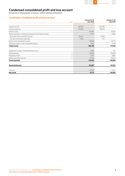

# Condensed consolidated profit and loss account

Amounts in thousands of euros, unless stated otherwise

# Condensed consolidated profit and loss account

|                                                             |       | 1 January to 30  | 1 January to 30  |
|-------------------------------------------------------------|-------|------------------|------------------|
|                                                             | notes | <b>June 2020</b> | <b>June 2019</b> |
|                                                             |       |                  |                  |
| Interest income                                             |       | 312,903          | 309,485          |
| Interest expenses                                           |       | 179,496          | 189,975          |
| Interest result                                             | 12    | 133,407          | 119,510          |
| Gains and losses on financial transactions and other income |       | 11,274           | 11,665           |
| - gross fee and commission income                           |       | 58,247           | 61,892           |
| - fee and commission expenses                               |       | 7,554            | 7,117            |
| Net fee and commission income                               |       | 50,693           | 54,775           |
| Valuation results on non-trading derivatives                |       | 1,355            | $-8,119$         |
| <b>Total income</b>                                         |       | 196,729          | 177,831          |
|                                                             |       |                  |                  |
| Impairment charges on financial instruments                 |       | 2,029            | 324              |
| Staff expenses                                              | 13    | 55,846           | 56,049           |
| Regulatory levies                                           | 14    | 12,141           | 9,887            |
| Other operating expenses                                    | 15    | 44,416           | 44,544           |
| <b>Total expenses</b>                                       |       | 114,432          | 110,804          |
| <b>Result before tax</b>                                    |       | 82,297           | 67,027           |
| Taxation                                                    |       | 20,586           | 16,521           |
| Net result                                                  |       | 61,711           | 50,506           |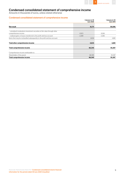

# Condensed consolidated statement of comprehensive income

Amounts in thousands of euros, unless stated otherwise

# Condensed consolidated statement of comprehensive income

|                                                                                                     | 1 January to 30<br><b>June 2020</b> | 1 January to 30<br><b>June 2019</b> |
|-----------------------------------------------------------------------------------------------------|-------------------------------------|-------------------------------------|
| Net result                                                                                          | 61,711                              | 50,506                              |
| - unrealised revaluations investment securities at fair value through other<br>comprehensive income | 6.923                               | 8.266                               |
| - realised gains or losses transferred to the profit and loss account                               | $-2,289$                            | $-3,385$                            |
| Items that may be reclassified subsequently to the profit and loss account                          | 4,634                               | 4,881                               |
| Total other comprehensive income                                                                    | 4,634                               | 4,881                               |
| <b>Total comprehensive income</b>                                                                   | 66,345                              | 55,387                              |
| Comprehensive income attributable to:                                                               |                                     |                                     |
| Shareholder of the parent                                                                           | 66,345                              | 55,387                              |
| <b>Total comprehensive income</b>                                                                   | 66,345                              | 55,387                              |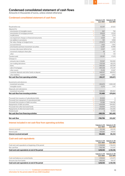

# Condensed consolidated statement of cash flows

Amounts in thousands of euros, unless stated otherwise

# Condensed consolidated statement of cash flows

| notes                                                           | <b>June 2020</b> | 1 January to 30 1 January to 30<br><b>June 2019</b> |
|-----------------------------------------------------------------|------------------|-----------------------------------------------------|
|                                                                 |                  |                                                     |
| Result before tax                                               | 82.297           | 67,027                                              |
| Adiusted for:                                                   |                  |                                                     |
| - amortisation of intangible assets<br>15                       | 907              | 756                                                 |
| - amortisation of mortgage premium<br>$\overline{4}$            | 20.624           | 23,514                                              |
| - modifications<br>$\overline{4}$                               | $-536$           | $-2.174$                                            |
| - net impairment charges on financial instruments               | 2.029            | 324                                                 |
| - net addition to provisions<br>15                              | 941              | 3,858                                               |
| - fair value change on hedged items<br>$\overline{4}$           | $-274,872$       | $-433,760$                                          |
| - accrued interest                                              | 1.403            | $-1.842$                                            |
| - amortisation premium investment securities<br>3               | 12,287           | 10,998                                              |
| - increase (decrease) deferred tax                              | $-2,027$         | $-2,203$                                            |
| - movement employee share plan                                  | 56               | 107                                                 |
| - other                                                         | $\Omega$         | $-139$                                              |
| <b>Taxation paid</b>                                            | $-28,287$        | $-17.678$                                           |
| Changes in:                                                     |                  |                                                     |
| - amounts due to banks                                          | 151,947          | 150,000                                             |
| - non-trading derivatives                                       | $-179,709$       | 410.576                                             |
| $\overline{4}$<br>- Ioans                                       | $-950.184$       | $-657,841$                                          |
| $\overline{4}$<br>- sale of mortgages                           | 394,338          | 272,347                                             |
| - other assets                                                  | $-15,418$        | 23,847                                              |
| - customer deposits and other funds on deposit<br>5             | 448,927          | 468,053                                             |
| – other liabilities                                             | $-16,840$        | 4,902                                               |
| Net cash flow from operating activities                         | $-352,117$       | 320,672                                             |
| Investments and advances:                                       |                  |                                                     |
| 3<br>- investment securities                                    | $-392,670$       | $-1,065,249$                                        |
| - intangible assets                                             | $-5.275$         | $-1.417$                                            |
| Disposals and redemptions:                                      |                  |                                                     |
| 3<br>- investment securities                                    | 529,425          | 495,852                                             |
| Net cash flow from investing activities                         | 131,480          | $-570,814$                                          |
|                                                                 |                  |                                                     |
| Proceeds from issuance of subordinated debt<br>10 <sup>10</sup> | 30.000           | 0                                                   |
| Proceeds from repayment of subordinated debt<br>10 <sup>°</sup> | $-30,000$        | $\Omega$                                            |
| Proceeds from issuance of debt securities<br>9                  | 10,386           | 1,364,186                                           |
| Repayments of debt securities<br>9                              | $-434.509$       | $-844,802$                                          |
| Proceeds from other borrowed funds<br>$\overline{7}$            | 518.964          | 244.925                                             |
| Repayments of other borrowed funds<br>7                         | $-575.000$       | $-125.000$                                          |
| Dividend paid<br>11                                             | $\overline{0}$   | $-55,900$                                           |
| Net cash flow from financing activities                         | $-480,159$       | 583,409                                             |
| Net cash flow                                                   | $-700,796$       | 333,267                                             |

# Interest included in net cash flow from operating activities

|                            |            | 1 January to 30 1 January to 30 |
|----------------------------|------------|---------------------------------|
|                            | June 2020  | <b>June 2019</b>                |
| Interest received          | 312.346    | 305,185                         |
| Interest paid              | $-205.661$ | $-219.951$                      |
| Interest received and paid | 106.685    | 85.234                          |

# Cash and cash equivalents

|                                                              | 1 January to 30<br><b>June 2020</b> | 1 January to 30<br><b>June 2019</b> |
|--------------------------------------------------------------|-------------------------------------|-------------------------------------|
| Cash and cash equivalents at beginning of the period         | 2,318,898                           | 1,796,839                           |
| Net cash flow                                                | -700.796                            | 333.267                             |
| Cash and cash equivalents at end of the period               | 1,618,102                           | 2,130,106                           |
|                                                              |                                     |                                     |
|                                                              | 1 January to 30<br><b>June 2020</b> | 1 January to 30<br><b>June 2019</b> |
|                                                              | 1,119,553                           | 1,215,979                           |
| Cash and balances at central banks<br>Amounts due from banks | 498.549                             | 914.127                             |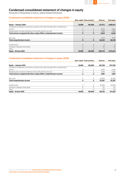

# Condensed consolidated statement of changes in equity

Amounts in thousands of euros, unless stated otherwise

# Condensed consolidated statement of changes in equity (2020)

|                                                                                         |                | Share capital Share premium | <b>Reserves</b> | <b>Total equity</b> |
|-----------------------------------------------------------------------------------------|----------------|-----------------------------|-----------------|---------------------|
| Equity - 1 January 2020                                                                 | 10,000         | 481,000                     | 517,073         | 1,008,073           |
| Unrealised revaluations investment securities at fair value through other comprehensive |                |                             |                 |                     |
| income                                                                                  | $\overline{0}$ | $\Omega$                    | 6.923           | 6,923               |
| Realised gains or losses transferred to the profit and loss account                     | $\Omega$       | 0                           | $-2.289$        | $-2,289$            |
| Total amount recognised directly in equity (Other comprehensive income)                 | 0              | $\bf{0}$                    | 4,634           | 4,634               |
| Net result                                                                              | $\Omega$       | $\Omega$                    | 61,711          | 61,711              |
| <b>Total comprehensive income</b>                                                       | $\bf{0}$       | $\mathbf{o}$                | 66,345          | 66,345              |
| Dividend paid                                                                           | $\Omega$       | $\Omega$                    | $\Omega$        | $\Omega$            |
| Change in employee share plans                                                          | $\Omega$       | $\Omega$                    | 56              | 56                  |
| Other                                                                                   |                |                             | $\Omega$        | $\Omega$            |
| <b>Equity - 30 June 2020</b>                                                            | 10,000         | 481,000                     | 583,474         | 1,074,474           |

# Condensed consolidated statement of changes in equity (2019)

|                                                                                         |          | Share capital Share premium | <b>Reserves</b> | <b>Total equity</b> |
|-----------------------------------------------------------------------------------------|----------|-----------------------------|-----------------|---------------------|
| Equity - 1 January 2019                                                                 | 10,000   | 481,000                     | 481,709         | 972,709             |
| Unrealised revaluations investment securities at fair value through other comprehensive |          |                             |                 |                     |
| income                                                                                  | $\Omega$ | 0                           | 8.266           | 8.266               |
| Realised gains or losses transferred to the profit and loss account                     | $\Omega$ | 0                           | $-3.385$        | $-3.385$            |
| Total amount recognised directly in equity (Other comprehensive income)                 | 0        | 0                           | 4,881           | 4,881               |
| Net result                                                                              | $\Omega$ | 0                           | 50.506          | 50,506              |
| <b>Total comprehensive income</b>                                                       | 0        | 0                           | 55,387          | 55,387              |
| Dividend paid                                                                           | $\Omega$ | 0                           | $-55.900$       | $-55,900$           |
| Change in employee share plans                                                          | $\Omega$ |                             | 107             | 107                 |
| Other                                                                                   | 0        |                             | $-139$          | $-139$              |
| <b>Equity - 30 June 2019</b>                                                            | 10,000   | 481,000                     | 481.164         | 972,164             |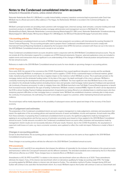

Amounts in thousands of euros, unless stated otherwise

Nationale-Nederlanden Bank N.V. (NN Bank) is a public limited liability company (naamloze vennootschap) incorporated under Dutch law. NN Bank has its official seat and its office address in The Hague, the Netherlands. NN Bank is recorded in the Commercial Register, no. 52605884.

NN Bank's principal activities are providing retail customers with mortgage loans, (internet) savings, bank annuities, consumer lending and retail investment products. In addition, NN Bank provides mortgage administration and management services to ING Bank N.V. (former WestlandUtrecht Bank), Nationale-Nederlanden Levensverzekering Maatschappij N.V. (NN Leven), Nationale-Nederlanden Schadeverzekering Maatschappij N.V. (NN Schade), NN Insurance Belgium N.V. (NN Belgium), the NN Dutch Residential Mortgage Fund and other entities.

## 1 Accounting policies

These Condensed consolidated interim accounts of NN Bank have been prepared in accordance with International Accounting Standard 34 'Interim Financial Reporting'. The accounting principles used to prepare these Condensed consolidated interim accounts comply with International Financial Reporting Standards as adopted by the European Union (IFRS-EU) and are consistent with those set out in the notes to the 2019 NN Bank Consolidated annual accounts, except as set out below.

These Condensed consolidated interim accounts should be read in conjunction with the 2019 NN Bank Consolidated annual accounts. They do not include all of the information required for a complete set of IFRS financial statements. However, selected explanatory notes are included to explain events and transactions that are significant to an understanding of the changes in NN Bank's financial position and performance since the last annual accounts.

Reference is made to the 2019 NN Bank Consolidated annual accounts for more details on upcoming changes in accounting policies.

#### COVID-19 pandemic

Since early 2020, the spread of the coronavirus (the COVID-19 pandemic) has caused significant disruption to society and the worldwide economy, impacting NN Bank, its employees, its customers and its suppliers. COVID-19 has a substantial impact on financial markets, global trade, manufacturing and travel and it also has a negative impact on the markets in which NN Bank is active. This in particular pertains to the mortgage market and the wholesale funding market. At the date of this report, the depth and length of this crisis is unknown. NN Bank is constantly monitoring the developments and the (potential) impact on NN Bank. The most significant risks that NN Bank faces in this context are related to the wholesale funding markets (including interest rates and spreads), retail mortgage market (payment holidays) and operational risk (continuity of business processes). In order to mitigate these risks, NN Bank launched a new Soft Bullet Covered Bond programme to benefit from increased investor demand for this type of funding. Furthermore, NN Bank created a retained RMBS, Hypenn VII, which can be deposited at the ECB to attract funding. Payment holidays (postponement of payments) are being offered on an individual basis to retail borrowers who face temporary payment difficulties on their mortgage loans or consumer loans. NN Bank has established a business continuity plan to help ensure the continuity of its businesses, the well-being of its staff and its ability to support its customers, whilst maintaining financial and operations resilience.

The actual impact will be mainly dependent on the possibility of subsequent waves and the speed and shape of the recovery of the Dutch economy.

#### Use of judgement and estimates

The preparation of the Condensed consolidated interim accounts requires management to make judgements, estimates and assumptions that impact the application of the accounting policies and reported amounts of assets and liabilities, income and expenses. Actual results may differ from these estimates. In preparing these Condensed consolidated interim accounts, the significant judgements made by management in applying its accounting policies and the key sources of estimation uncertainty were based on those applied in the 2019 NN Bank Consolidated annual accounts. Certain amounts recorded in the Condensed consolidated interim accounts reflect estimates and assumptions made by management. Interim results are not necessarily indicative of full-year results. However, due to the COVID‐19 pandemic, the assumptions in expected credit losses on Loans, e.g. macro-economic scenarios, were updated to reflect the credit risk impact. Reference is made to Note 4 Loans.

#### Changes in accounting policies

Except as described below, the accounting policies applied in these interim accounts are the same as those applied in the 2019 NN Bank Consolidated annual accounts.

These changes in accounting policies will also be reflected in the 2020 NN Bank Consolidated annual accounts.

#### IFRS amendments

The revisions to IAS 1 and IAS 8 are amendments that sharpen the definition of materiality for the inclusion of information in the annual accounts and harmonise it within the Conceptual Framework and the different standards. The amended standards were endorsed by the EU in November 2019 and are effective as of 2020. These changes have no material effects on NN Bank's accounts.

Amendments to IAS 39, IFRS 9 and IFRS 7 in relation to the interest rate benchmark reform are effective as of 2020. These amendments eliminate the impact, if any, of the interest rate benchmark reform on derivatives qualifying for hedge accounting under IFRS. The hedge accounting applied by NN Bank relates to interest rate risk based on Euribor. The calculation method of Euribor changed during 2019 and Euribor will continue to be used after the benchmark reform. As a result, NN Bank expects that Euribor will continue to exist as a benchmark and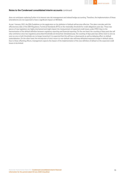

does not anticipate replacing Euribor in its interest rate risk management and related hedge accounting. Therefore, the implementation of these amendments are not expected to have a significant impact on NN Bank.

As per 1 January 2021, the EBA Guidelines on the application on the definition of default will become effective. This date coincides with the effectiveness date of the EBA Regulatory Technical Standards (RTS) on the materiality threshold for credit obligations past due. These two pieces of new legislation are highly intertwined and might impact the measurement of expected credit losses under IFRS 9 due to the harmonisation of the default definition between regulatory reporting and financial reporting. On the one hand, the counting of days past due will only commence once two regulatory prescribed thresholds are breached. Simultaneously, the counting of days past due will be reset to zero as soon as one or both thresholds are no longer breached. It is expected that this will have a downwards as well as delaying effect on default materialisation. On the other hand, the introduction of strict return-to-non-default rules will keep defaulted exposures longer in default status. Due to these offsetting effects, management expects the impact of the implementation of the new definition of default on the expected credit losses to be limited.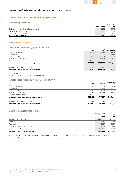

# 2 Financial assets at fair value through profit or loss

Non-trading derivatives

|                                                  |              | <b>31 December</b> |
|--------------------------------------------------|--------------|--------------------|
|                                                  | 30 June 2020 | 2019               |
| Derivatives held for fair value hedge accounting | 40.284       | 33.757             |
| Balanced guaranteed swaps                        | 33.263       | 49.871             |
| Other non-trading derivatives                    |              | 4.570              |
| <b>Non-trading derivatives</b>                   | 73.547       | 88,198             |

# 3 Investment securities

# Investment securities by type 30 June 2020

|                                                | AC <sup>1</sup> | <b>FVOCI2</b> | 30 June 2020 |
|------------------------------------------------|-----------------|---------------|--------------|
| Government bonds                               | 226.622         | 311.411       | 538.033      |
| Covered bonds                                  |                 | 1.215.550     | 1.215.550    |
| Corporate bonds                                | 2.506           | 8.212         | 10.718       |
| Financial institution bonds                    | 62.071          | 30.698        | 92,769       |
| Asset backed securities                        | 27.610          | 0             | 27.610       |
| Investment securities - before loss provisions | 318,809         | 1,565,871     | 1,884,680    |
|                                                |                 |               |              |
| Investment securities loss provisions          | $-47$           | $-110$        | $-157$       |
| Investment securities - after loss provisions  | 318,762         | 1.565.761     | 1,884,523    |

1 AC= Amortised Cost 2 FVOCI = Fair value through Other Comprehensive Income

#### Investment securities by type 31 December 2019

|                                                |         |              | 31 December |
|------------------------------------------------|---------|--------------|-------------|
|                                                | АC      | <b>FVOCI</b> | 2019        |
| Government bonds                               | 227.928 | 441.854      | 669,782     |
| Covered bonds                                  |         | 1.199.801    | 1,199,801   |
| Corporate bonds                                | 2.561   | 8.184        | 10.745      |
| Financial institution bonds                    | 62.097  | 57.768       | 119,865     |
| Asset backed securities                        | 27.610  |              | 27.610      |
| Investment securities - before loss provisions | 320.196 | 1,707,607    | 2,027,803   |
| Investment securities loss provisions          | $-99$   | $-378$       | $-477$      |
| Investment securities - after loss provisions  | 320,097 | 1,707,229    | 2,027,326   |

# Changes in investment securities

|                                         | 6 month period |                    |
|-----------------------------------------|----------------|--------------------|
|                                         | ended 30 June  | Year ended 31      |
|                                         |                | 2020 December 2019 |
| Investment securities - opening balance | 2,027,803      | 1,068,941          |
| Additions                               | 392.670        | 1,720,414          |
| Amortisation                            | $-12.287$      | $-20.974$          |
| Changes in unrealised revaluations      | 5.919          | $-1,863$           |
| Disposals and redemptions               | $-529.425$     | $-738.715$         |
| Investment securities - closing balance | 1,884,680      | 2,027,803          |

The changes in the portfolio are mainly caused by the sale of government bonds investment securities. There were only sales from the FVOCI portfolio, and the sales did not have an impact on the business model classification.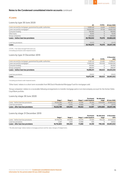# 4 Loans

Loans by type 30 June 2020

|                                                              | AC         | <b>FVTPL1</b> | 30 June 2020 |
|--------------------------------------------------------------|------------|---------------|--------------|
| Loans secured by mortgages, guaranteed by public authorities | 5.695.149  | 13.454        | 5,708,603    |
| Loans secured by mortgages <sup>2</sup>                      | 14.635.235 | 57.124        | 14.692.359   |
| Consumer lending                                             | 158.492    | 0             | 158.492      |
| Other loans                                                  | 16.510     | $\Omega$      | 16.510       |
| Group companies                                              | 284.656    | C             | 284.656      |
| Loans - before loan loss provisions                          | 20,790,042 | 70.578        | 20,860,620   |
|                                                              |            |               |              |
| Loan loss provisions                                         | $-23.172$  | C             | $-23.172$    |
| Loans                                                        | 20,766,870 | 70,578        | 20,837,448   |
|                                                              |            |               |              |

1 FVTPL = Fair Value through Profit and Loss

2 Including purchased credit-impaired assets

# Loans by type 31 December 2019

| <b>FVTPL</b> | 2019       |
|--------------|------------|
|              |            |
|              | 5.486.617  |
| 103.038      | 14,068,656 |
| $\Omega$     | 181.064    |
|              | 288.197    |
| 128.523      | 20,024,534 |
|              | $-20.612$  |
| 128.523      | 20,003,922 |
|              | 25.485     |

1 Including purchased credit-impaired assets

'Other loans' relates to a short term receivable from NN Dutch Residential Mortgage Fund for mortgages sold.

'Group companies' relates to a receivable following arrangements to transfer mortgage parts in an intercompany account for the former Delta Lloyd Bank portfolio.

#### Loans by stage 30 June 2020

|                                     |            |          |           | <b>Purchased</b>        | No allocated       |              |
|-------------------------------------|------------|----------|-----------|-------------------------|--------------------|--------------|
|                                     | Stage 1    | Stage 2  |           | Stage 3 credit-impaired | stage <sup>1</sup> | 30 June 2020 |
| Loans - before loan loss provisions | 19.225.383 | 431.317  | 113.991   | 35.245                  | 1.054.684          | 20.860.620   |
| Loan loss provisions                | $-2.594$   | $-5.372$ | $-14.469$ | $-737$                  |                    | $-23.172$    |
| Loans - after loan loss provisions  | 19.222.789 | 425.945  | 99.522    | 34.507                  | 1.054.684          | 20.837.448   |

# Loans by stage 31 December 2019

|                                     |            |          |           | <b>Purchased</b>        | No allocated       | 31 December |
|-------------------------------------|------------|----------|-----------|-------------------------|--------------------|-------------|
|                                     | Stage 1    | Stage 2  |           | Stage 3 credit-impaired | stage <sup>1</sup> | 2019        |
| Loans - before loan loss provisions | 18.756.070 | 359.466  | 84.078    | 34.594                  | 790.326            | 20.024.534  |
| Loan loss provisions                | $-3.267$   | $-3.912$ | $-12.998$ | -435                    |                    | $-20.612$   |
| Loans - after loan loss provisions  | 18,752,803 | 355.554  | 71.080    | 34.159                  | 790.326            | 20.003.922  |

1 'No allocated stage' relates mainly to mortgage premium and fair value changes of hedged items.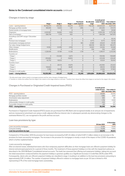

# Changes in loans by stage

|                                      |                |                |                |                         |                    | 6 month period |                    |
|--------------------------------------|----------------|----------------|----------------|-------------------------|--------------------|----------------|--------------------|
|                                      |                |                |                | Purchased               | No allocated       | ended 30 June  | Year ended 31      |
|                                      | Stage 1        | Stage 2        |                | Stage 3 credit-impaired | stage <sup>1</sup> |                | 2020 December 2019 |
| Loans - opening balance              | 18,756,070     | 359,466        | 84,078         | 34,594                  | 790,326            | 20,024,534     | 18,471,414         |
| Mortgage portfolio transfer          | 189,095        | 10,853         | 1,311          | 1,996                   | $\Omega$           | 203,255        | 572,172            |
| Partial transfer of mortgage loans   | $\mathbf 0$    | $\Omega$       | 0              | $\overline{0}$          | 9,621              | 9.621          | 35,182             |
| Origination                          | 2,020,907      | 36,860         | 1,559          | $\overline{O}$          | $\Omega$           | 2,059,326      | 3,775,768          |
| Sale of mortgages                    | $-386,758$     | $-7,178$       | $-402$         | 0                       | $\Omega$           | $-394,338$     | $-947,979$         |
| Amstelhuys and OHF merger 1 December |                |                |                |                         |                    |                |                    |
| 2019                                 | 0              | $\mathbf 0$    | 0              | $\overline{O}$          | $\Omega$           | $\overline{0}$ | 30,312             |
| Premium new mortgages                | $\overline{0}$ | $\overline{0}$ | 0              | $\Omega$                | 9,773              | 9,773          | 18,742             |
| Amortisation mortgage premium        | $\overline{O}$ | $\overline{0}$ | $\mathcal{O}$  | 565                     | $-21,189$          | $-20.624$      | $-44,391$          |
| Fair value change hedged items       | $\Omega$       | $\Omega$       | 0              | $\Omega$                | 300,118            | 300,118        | 393,473            |
| Other changes                        | $-14,563$      | 22,099         | 2,939          | 0                       | $-34,501$          | $-24,026$      | $-61,658$          |
| Modifications                        | $\overline{0}$ | $\Omega$       | $\overline{O}$ | $\Omega$                | 536                | 536            | 6,057              |
| Redemptions                          | $-1,228,100$   | $-57,961$      | $-11,338$      | $-1,718$                | $\overline{0}$     | $-1,299,117$   | $-2,213,516$       |
| Transfers to <sup>2</sup> :          |                |                |                |                         |                    |                |                    |
| $-$ Stage 1                          | $\overline{0}$ | $-133,583$     | $-5.873$       | $\overline{O}$          | $\overline{O}$     | $-139,456$     | $-158,689$         |
| - Stage 2                            | $-204,665$     | $\overline{0}$ | $-18,853$      | $\overline{O}$          | $\Omega$           | $-223,518$     | $-224,441$         |
| - Stage 3                            | $-42,792$      | $-18,832$      | 0              | $\overline{O}$          | $\overline{0}$     | $-61,624$      | $-36,943$          |
| Transfers from <sup>2</sup> :        |                |                |                |                         |                    |                |                    |
| $-$ Stage 1                          | $\overline{0}$ | 201,113        | 41,879         | 0                       | $\circ$            | 242,992        | 213,423            |
| $-$ Stage 2                          | 130,823        | $\Omega$       | 18,691         | $\overline{O}$          | $\Omega$           | 149,514        | 137,804            |
| $-$ Stage 3                          | 5,366          | 18,480         | 0              | $\overline{O}$          | $\overline{0}$     | 23.846         | 57,804             |
| Changes in credit quality            | $\Omega$       | $\overline{0}$ | $\Omega$       | $-192$                  | $\Omega$           | $-192$         | $\Omega$           |
| Loans - closing balance              | 19,225,383     | 431,317        | 113,991        | 35,245                  | 1,054,684          | 20,860,620     | 20,024,534         |

1 'No allocated stage' relates mainly to mortgage premium and fair value changes of hedged items.

2 'Transfers to' shows the outflow from the stage in the column to the stage stated on row level. 'Transfers from' shows the inflow from stage on row level to the stage in the column.

# Changes in Purchased or Originated Credit-Impaired loans (POCI)

|                                        | 6 month period<br>ended 30 June | Year ended 31<br>2020 December 2019 |
|----------------------------------------|---------------------------------|-------------------------------------|
| POCI - opening balance                 | 34.594                          | 35,055                              |
| Mortgage portfolio transfer            | 1.996                           | 3,047                               |
| Amortisation value adjustment          | 565                             | 461                                 |
| Redemptions                            | $-1.718$                        | $-3.935$                            |
| Unfavourable changes in credit quality | $-433$                          | $-337$                              |
| Favourable changes in credit quality   | 241                             | 303                                 |
| <b>POCI</b> - closing balance          | 35.245                          | 34.594                              |

Purchased or Originated Credit-Impaired (POCI) assets are purchased from ING Bank and recognised initially at an amount net of impairments and are measured at amortised cost using a credit-adjusted effective interest rate. In subsequent periods any deteriorating changes to the estimated lifetime ECL are recognised in the profit and loss account.

#### Loan loss provisions by type

|                              |              | 31 December |
|------------------------------|--------------|-------------|
|                              | 30 June 2020 | 2019        |
| Loans secured by mortgages   | 11.794       | 8.658       |
| Consumer lending             | 11.378       | 11.954      |
| Loan loss provisions by type | 23,172       | 20,612      |

Compared to 31 December 2019 the provision for loan losses increased by EUR 2.6 million of which EUR 3.1 million relates to an increase in the provision for loans secured by mortgages. The increase in the provision for mortgages is mostly a result of the impact of the COVID-19 pandemic which is further explained below.

#### Loans secured by mortgages

After an internal review, individual borrowers who face temporary payment difficulties on their mortgage loans are offered a payment holiday for interest and principal payments for a period of three months. The treatment of these payment holidays is in line with the impairment policies as described in the 2019 NN Bank Consolidated annual accounts. The bank has assessed that offering such payments holidays, taking into account the initial assessment conducted before the payment holidays is granted, qualifies as a Significant Increase in Credit Risk (SICR) under IFRS. Consequently, clients who are offered a payment holiday are classified in stage 2 resulting in an addition to the loan loss provisions amounting to approximately EUR 2.4 million. The number of payment holidays offered in relation to mortgage loans as per 30 June is limited to 454, representing 0.7% of the total mortgage loans outstanding.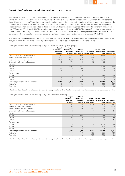

Furthermore, NN Bank has updated its macro-economic scenarios. The assumptions on future macro-economic variables such as GDP, unemployment and housing prices are used as input in the calculation of the expected credit losses under IFRS 9 where it is required to use forward-looking information. Various institutions published adjusted economic outlooks and scenarios which include the possible impacts of the pandemic on the economy. The bank has taken into account the scenarios as published by the CPB, IMF and DNB. Based on the updated forecasts management applied a so-called 'U-shape' scenario whilst applying a recovery period of two years. The scenario weighting (base case 80%, upside 10%, downside 10%) has remained unchanged as compared to year-end 2019. The impact of updating the macro-economic outlook during the first half year of 2020 amounts to an increase of the expected credit losses on mortgage loans of EUR 3.0 million. These assumptions will be assessed on a continuing basis and adjusted if necessary, based on the further developments of COVID-19.

The increase in the loan loss provision on mortgages is partially offset by the effect of a further increase in the house price index during the first half year of 2020 which has had a positive impact on the value of collateral obtained and other non-material effects.

# Changes in loan loss provisions by stage – Loans secured by mortgages

|                                        | Stage 1        | Stage 2             |                                 |                |                |                      |
|----------------------------------------|----------------|---------------------|---------------------------------|----------------|----------------|----------------------|
|                                        | 12-month ECL   | <b>Lifetime ECL</b> | Stage 3                         |                | 6 month period |                      |
|                                        | non-credit     | non-credit          | <b>Lifetime ECL</b>             | Purchased      | ended 30 June  | <b>Year ended 31</b> |
|                                        | impaired       | impaired            | credit impaired credit-impaired |                |                | 2020 December 2019   |
| Loan loss provisions - opening balance | 2,130          | 1.474               | 4,619                           | 435            | 8,658          | 10,701               |
| Addition to the loan loss provisions   | 495            | 1,756               | 1,540                           | 204            | 3,995          | 589                  |
| Release from the loan loss provisions  | $-1,057$       | $-1,067$            | $-1,291$                        | 25             | $-3,390$       | $\mathbf{0}$         |
| Changes in models and methodologies    | $\mathbf{0}$   | 474                 | $-495$                          | 73             | 52             | $\overline{O}$       |
| Transfers to <sup>1</sup> :            |                |                     |                                 |                |                |                      |
| $-$ Stage 1                            | $\overline{0}$ | $-492$              | $-663$                          | $\overline{0}$ | $-1,155$       | $-3,919$             |
| $-$ Stage 2                            | $-69$          | $\overline{O}$      | $-1,070$                        | $\Omega$       | $-1.139$       | $-1,505$             |
| $-$ Stage 3                            | $-11$          | $-161$              | $\overline{0}$                  | $\overline{0}$ | $-172$         | $-97$                |
| Transfers from!:                       |                |                     |                                 |                |                |                      |
| $-$ Stage 1                            | $\Omega$       | 1,321               | 2.290                           | $\Omega$       | 3.611          | 1,862                |
| $-$ Stage 2                            | 17             | $\Omega$            | 1.153                           | $\Omega$       | 1.170          | 710                  |
| $-$ Stage 3                            | 12             | 152                 | $\Omega$                        | $\Omega$       | 164            | 317                  |
| Loan loss provisions — closing balance | 1,517          | 3,457               | 6,083                           | 737            | 11,794         | 8,658                |
| Write-offs                             | $\overline{0}$ | 0                   | 555                             | $\Omega$       | 555            | 1,578                |
| Recoveries                             | $\overline{O}$ | 0                   | $-433$                          | $\Omega$       | $-433$         | $-556$               |

1 'Transfers to' shows the outflow from the stage in the column to the stage stated on row level. 'Transfers from' shows the inflow from stage on row level to the stage in the column.

#### Changes in loan loss provisions by stage – Consumer lending

|                                        | Stage 1        | Stage 2             |                     |                |                    |
|----------------------------------------|----------------|---------------------|---------------------|----------------|--------------------|
|                                        | 12-month ECL   | <b>Lifetime ECL</b> | Stage 3             | 6 month period |                    |
|                                        | non-credit     | non-credit          | <b>Lifetime ECL</b> | ended 30 June  | Year ended 31      |
|                                        | impaired       | impaired            | credit impaired     |                | 2020 December 2019 |
| Loan loss provisions - opening balance | 1,137          | 2,438               | 8,379               | 11,954         | 17,773             |
| Addition to the loan loss provisions   | 16             | 0                   | 0                   | 16             | $-8,067$           |
| Release from the loan loss provisions  | $-63$          | $-599$              | $-849$              | $-1,511$       | $\Omega$           |
| Changes in models and methodologies    | $-2$           | 94                  | $-51$               | 41             | 845                |
| Transfers to <sup>1</sup> :            |                |                     |                     |                |                    |
| $-$ Stage 1                            | $\overline{O}$ | $-525$              | $-74$               | $-599$         | $-716$             |
| - Stage 2                              | $-51$          | $\Omega$            | $-23$               | $-74$          | $-294$             |
| - Stage 3                              | $-21$          | $-318$              | $\overline{0}$      | $-339$         | $-454$             |
| Transfers from <sup>1</sup> :          |                |                     |                     |                |                    |
| $-$ Stage 1                            | $\overline{O}$ | 817                 | 272                 | 1.089          | 2,035              |
| $-$ Stage 2                            | 50             | $\Omega$            | 732                 | 782            | 784                |
| $-$ Stage 3                            | 11             | 8                   | $\Omega$            | 19             | 48                 |
| Loan loss provisions - closing balance | 1,077          | 1,915               | 8,386               | 11,378         | 11,954             |
| Write-offs                             | $\overline{0}$ | $\Omega$            | 555                 | 555            | 6,864              |
| Recoveries                             | $\overline{0}$ | $\overline{0}$      | $-708$              | $-708$         | $-683$             |

1 'Transfers to' shows the outflow from the stage in the column to the stage stated on row level. 'Transfers from' shows the inflow from stage on row level to the stage in the column.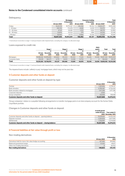

# **Delinquency**

|                |              | <b>Mortgages</b> |              | <b>Consumer lending</b> |                           | Total       |
|----------------|--------------|------------------|--------------|-------------------------|---------------------------|-------------|
|                |              | 31 December      |              | 31 December             |                           | 31 December |
|                | 30 June 2020 | 2019             | 30 June 2020 | 2019                    | 30 June 2020 <sup>1</sup> | 20191       |
| 0 days         | 19,421,119   | 18,751,347       | 140.258      | 161,152                 | 19.561.377                | 18,912,499  |
| $1 - 30$ days  | 109.745      | 174.478          | 4,628        | 5.039                   | 114.373                   | 179,517     |
| $31 - 60$ days | 47.141       | 50.981           | 1.233        | 1.924                   | 48.374                    | 52.905      |
| $61 - 90$ days | 23,876       | 32,532           | 379          | 808                     | 24,255                    | 33,340      |
| $>90$ days     | 45.563       | 43.713           | 11.994       | 12.234                  | 57.557                    | 55.947      |
| Total          | 19,647,444   | 19,053,051       | 158,492      | 181,157                 | 19,805,936                | 19,234,208  |

1 Total amount reconciles to stage 1-3 and purchased credit-impaired loans, excluding the category 'no allocated stage'.

#### Loans exposed to credit risk

|                |            |            |         |          |         |                 |         | <b>POCI</b>     |                              |                 |
|----------------|------------|------------|---------|----------|---------|-----------------|---------|-----------------|------------------------------|-----------------|
|                |            | Stage 1    |         | Stage 2  |         | Stage 3         |         | assets          | Total                        | Total           |
|                |            | 31         |         | 31       |         | 31              |         | 31              |                              | 31              |
|                | 30 June    | December   | 30 June | December | 30 June | <b>December</b> | 30 June | <b>December</b> | 30 June                      | <b>December</b> |
|                | 2020       | 2019       | 2020    | 2019     | 2020    | 2019            | 2020    | 2019            | 20201                        | 20191           |
| Mortgages      | 19.086.164 | 18.595.699 | 424.602 | 351.433  | 101.433 | 71.325          | 35.245  | 34.594          | 19.647.444                   | 19.053.051      |
| Consumer loans | 139.219    | 160.371    | 6.715   | 8.033    | 12.558  | 12.753          |         |                 | 158.492                      | 181.157         |
| <b>Total</b>   | 19,225,383 | 18,756,070 | 431,317 | 359,466  | 113.991 | 84.078          | 35.245  |                 | 34,594 19,805,936 19,234,208 |                 |

1 Total amount reconciles to stage 1-3 and purchased credit-impaired loans, excluding the category 'no allocated stage'.

The impaired loans include 'unlikely to pay' mortgage loans, which may not be past due.

# 5 Customer deposits and other funds on deposit

## Customer deposits and other funds on deposit by type

|                                              |              | 31 December |
|----------------------------------------------|--------------|-------------|
|                                              | 30 June 2020 | 2019        |
| Savings                                      | 7.081.856    | 6.708.147   |
| <b>Bank annuities</b>                        | 6.789.367    | 6.754.430   |
| Bank annuities related to mortgages          | 1.517.289    | 1,477,296   |
| Corporate deposits                           | 3.500        | 0           |
| Group companies                              | 135,836      | 139.048     |
| Customer deposits and other funds on deposit | 15,527,848   | 15,078,921  |

'Group companies' relates to a payable following arrangements to transfer mortgage parts in an intercompany account for the former Delta Lloyd Bank portfolio.

## Changes in Customer deposits and other funds on deposit

|                                                                | 6 month period |                             |
|----------------------------------------------------------------|----------------|-----------------------------|
|                                                                |                | ended 30 June Year ended 31 |
|                                                                |                | 2020 December 2019          |
| Customer deposits and other funds on deposit - opening balance | 15.078.921     | 14.476.439                  |
| Deposits received                                              | 2.205.824      | 3.877.090                   |
| Withdrawals                                                    | $-1.756.897$   | $-3.274.608$                |
| Customer deposits and other funds on deposit – closing balance | 15,527,848     | 15.078.921                  |

# 6 Financial liabilities at fair value through profit or loss

#### Non-trading derivatives

|                                                        |              | 31 December |
|--------------------------------------------------------|--------------|-------------|
|                                                        | 30 June 2020 | 2019        |
| Derivatives held for macro fair value hedge accounting | 107.560      | 264.880     |
| Balanced guaranteed swaps                              | 33.263       | 49.871      |
| Other non-trading derivatives                          |              | 20.432      |
| <b>Non-trading derivatives</b>                         | 140.823      | 335.183     |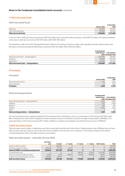

# 7 Other borrowed funds

# Other borrowed funds

|                      |              | 31 December |
|----------------------|--------------|-------------|
|                      | 30 June 2020 | 2019        |
| NN Group             | 782,000      | 493.000     |
| Other borrowed funds | 434.964      | 780.000     |
| Other borrowed funds | 1.216.964    | 1.273.000   |

In the first half of 2020 new loans amounting to EUR 230 million were contracted with third parties, while EUR 575 million was repaid resulting in a decrease of other borrow funds to EUR 435 million (2019: EUR 780 million).

The drawdown under the Central Clearing Borrowing Facility for the funding of variation margin calls regarding centrally cleared interest rate derivatives contracts provided by NN Group increased to EUR 782 million (2019: EUR 493 million).

|                                        | 6 month period |                             |
|----------------------------------------|----------------|-----------------------------|
|                                        |                | ended 30 June Year ended 31 |
|                                        |                | 2020 December 2019          |
| Other borrowed funds - opening balance | 1.273.000      | 330.000                     |
| <i>Issuances</i>                       | 518.964        | 1,183,000                   |
| Redemption                             | $-575.000$     | $-240.000$                  |
| Other borrowed funds - closing balance | 1.216.964      | 1,273,000                   |

## 8 Provisions

#### Provisions

|                          |              | 31 December |
|--------------------------|--------------|-------------|
|                          | 30 June 2020 | 2019        |
| Restructuring provisions | 3.141        | 4,505       |
| Other provisions         | 75           | .200        |
| <b>Provisions</b>        | 3.216        | 5.705       |

#### Restructuring provisions

|                                            | 6 month period |                             |
|--------------------------------------------|----------------|-----------------------------|
|                                            |                | ended 30 June Year ended 31 |
|                                            |                | 2020 December 2019          |
| Restructuring provisions - opening balance | 4.505          | 4,689                       |
| Additions                                  | 1.427          | 5,586                       |
| Releases                                   | $-588$         | -955                        |
| Charges                                    | $-2.203$       | $-4,761$                    |
| Other                                      | $\mathbf{O}$   | $-54$                       |
| Restructuring provisions – closing balance | 3,141          | 4,505                       |

The restructuring provision is partly recognised for the expected future redundancy costs as a consequence of the merger with Delta Lloyd Bank. During the first half of 2020 a Request for Advice has been issued to the Works Council for the agile transformation of NN Bank. The expected impact of this restructuring is EUR 1.4 million. Additions or releases are charged to the profit and loss account of NN Bank.

#### 9 Debt securities issued

'Debt securities issued' relates to debentures and other issued debt securities with either fixed or floating interest rates. NN Bank does not have debt securities that are issued on terms other than those available in the normal course of business. The maturities, based on the earliest contractual payment date of the debt securities, are as follows:

Debt securities issued – maturities 30 June 2020

|                                                | Less than 1 |           |               |               |               |              |           |
|------------------------------------------------|-------------|-----------|---------------|---------------|---------------|--------------|-----------|
|                                                | year        | 1-2 years | $2 - 3$ years | $3 - 4$ vears | $4 - 5$ vears | Over 5 years | Total     |
| Fixed rate debt securities                     |             | 100.000   |               |               |               |              | 100.000   |
| Floating rate debt securities                  | 630.644     | 157.339   | 417.312       |               |               | O            | 1.205.295 |
| <b>Subtotal RMBS securitisation programmes</b> | 630.644     | 257,339   | 417.312       |               |               | 0            | 1,305,295 |
| Covered bond issues                            |             |           |               | 498.457       | 513.943       | 1.623.448    | 2.635.848 |
| Fixed rate unsecured debt securities           | 14.998      | 4.010     | 499.912       | 274.510       | 498.595       | 96.861       | 1.388.886 |
| Floating rate unsecured debt securities        | 330.862     | 189.771   |               |               |               | 24.872       | 545.505   |
| Debt securities issued                         | 976.504     | 451.120   | 917.224       | 772.967       | 1.012.538     | 1,745,181    | 5,875,534 |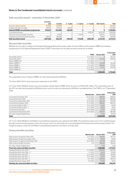

Debt securities issued – maturities 31 December 2019

|                                                | Less than 1 |           |               |               |             |              |           |
|------------------------------------------------|-------------|-----------|---------------|---------------|-------------|--------------|-----------|
|                                                | year        | 1-2 years | $2 - 3$ years | $3 - 4$ vears | 4 - 5 vears | Over 5 years | Total     |
| Fixed rate debt securities                     | 125.000     | 100.000   |               |               |             |              | 225.000   |
| Floating rate debt securities                  | 551.633     | 523.002   | 440.169       |               |             |              | 1.514.804 |
| <b>Subtotal RMBS securitisation programmes</b> | 676.633     | 623.002   | 440.169       |               |             | 0            | 1,739,804 |
| Covered bond issues                            |             |           |               |               | 1.009.207   | 1.605.376    | 2.614.583 |
| Fixed rate unsecured debt securities           |             | 19.004    |               | 772.046       |             | 582.977      | 1,374,027 |
| Floating rate unsecured debt securities        | 330.927     | 190.208   |               |               |             | 24.862       | 545.997   |
| Debt securities issued                         | 1.007.560   | 832.214   | 440.169       | 772.046       | 1.009.207   | 2.213.215    | 6,274,411 |

Secured debt securities

NN Bank has the right to redeem the Residential Mortgage Backed Securities under the Arena NHG and the Hypenn RMBS securitisation programmes at First Optional Redemption Date (FORD). These dates for the debt securities issued are as follows:

|                   |             |              | 31 December |
|-------------------|-------------|--------------|-------------|
|                   | <b>FORD</b> | 30 June 2020 | 2019        |
| Arena NHG 2014-II | 17-4-2020   | $\circ$      | 335,327     |
| Arena NHG 2016-I  | 17-7-2021   | 257.339      | 289,120     |
| Hypenn RMBS I A3  | 17-11-2020  | 0            | $\Omega$    |
| Hypenn RMBS IV    | 17-7-2020   | 321,538      | 341,306     |
| Hypenn RMBS V     | 17-4-2021   | 309.106      | 333,882     |
| Hypenn RMBS VI    | 17-12-2022  | 417.312      | 440,169     |
| Hypenn RMBS VII   | 17-9-2026   | $\circ$      | $\Omega$    |
| <b>Total</b>      |             | 1.305.295    | 1.739.804   |

The outstanding notes of Hypenn RMBS I are fully held (retained) by NN Bank.

The Arena NHG 2014-II notes have been redeemed on the FORD.

On 11 June 2020, NN Bank issued a new securitisation named Hypenn RMBS VII for an amount of EUR 2,067 million. The outstanding notes of this SPV are fully held (retained) by NN Bank and as such the notes are eliminated at NN Bank consolidated level. The FORD is on 17 September 2026.

|                                |                      |              | 31 December |
|--------------------------------|----------------------|--------------|-------------|
|                                | <b>Maturity date</b> | 30 June 2020 | 2019        |
| Covered bond October 2017      | 10-10-2024           | 498.826      | 498.667     |
| Covered bond lune 2018         | $11-9-2025$          | 497.147      | 496,880     |
| Covered bond September 2018    | 25-9-2028            | 494.258      | 493.918     |
| Covered bond February 2019     | $27 - 2 - 2024$      | 498.457      | 498.243     |
| Covered bond March 2019 - 1    | 18-3-2039            | 24.823       | 24.819      |
| Covered bond March 2019 - 2    | $21 - 3 - 2039$      | 19.920       | 19.917      |
| Covered bond July 2019         | 25-9-2028            | 52.821       | 53.309      |
| Covered bond September 2019    | 24-9-2029            | 498.477      | 498.396     |
| Fair value change hedged items |                      | 51.120       | 30,434      |
| Total                          |                      | 2,635,848    | 2,614,583   |

On 17 June 2020, NN Bank's Soft Bullet Covered Bond programme was registered with DNB. The programme exists next to the conditional passthrough covered bond programme and is the primary source for attracting new secured funding from institutional investors going forward. The inaugural issuance under the Soft Bullet Covered Bond programme took place on 8 July 2020.

## Unsecured debt securities

|                                                |                      |              | <b>31 December</b> |
|------------------------------------------------|----------------------|--------------|--------------------|
|                                                | <b>Maturity date</b> | 30 June 2020 | 2019               |
| Debt Issuance Programme May 2019               | $31 - 5 - 2023$      | 498.061      | 497.727            |
| Debt Issuance Programme August 2019            | 3-9-2029             | 19.852       | 19.978             |
| Debt Issuance Programme November 2019          | $26 - 2 - 2025$      | 497.158      | 496.919            |
| Other unsecured debt securities                | n/a                  | 366.016      | 356,164            |
| Fair value change hedged items                 |                      | 7.799        | 3.239              |
| <b>Fixed rate unsecured debt securities</b>    |                      | 1,388,886    | 1,374,027          |
| Floating Rate Note June 2019 - 1               | $11 - 12 - 2020$     | 250.032      | 250.064            |
| Floating Rate Note June 2019 - 2               | $1 - 7 - 2021$       | 35.015       | 35,020             |
| Floating Rate Note July 2019 - 1               | $11 - 12 - 2020$     | 80.830       | 80,863             |
| Floating Rate Note July 2019 - 2               | 10-7-2026            | 24.872       | 24,862             |
| Floating Rate Note July 2019 - 3               | 15-7-2021            | 100.050      | 100.073            |
| Floating Rate Note August 2019                 | $3 - 9 - 2021$       | 54.706       | 55.115             |
| <b>Floating rate unsecured debt securities</b> |                      | 545.505      | 545,997            |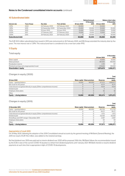

# 10 Subordinated debt

|                          |               |                   |                        |              | <b>Notional amount</b> |              | <b>Balance sheet value</b> |
|--------------------------|---------------|-------------------|------------------------|--------------|------------------------|--------------|----------------------------|
|                          |               |                   |                        |              | 31 December            |              | 31 December                |
| Interest rate            | Year of issue | Due date          | <b>First call date</b> | 30 June 2020 | 2019                   | 30 June 2020 | 2019                       |
| 1.29%                    | 2020          | 26 February 2030  | 26 February 2025       | 30.000       |                        | 30.000       | 0.                         |
| 1.38%                    | 2019          | 26 September 2029 | 26 September 2024      | 25,000       | 25,000                 | 25,000       | 25,000                     |
| 1.83%                    | 2019          | 26 June 2029      | 26 June 2024           | 15.000       | 15.000                 | 15.000       | 15.000                     |
| 3.02%                    | 2017          | 27 February 2027  | 27 February 2022       | 15.000       | 15.000                 | 15.000       | 15,000                     |
| 2.66%                    | 2015          | 26 February 2025  | 26 February 2020       |              | 30.000                 |              | 30.000                     |
| <b>Subordinated debt</b> |               |                   |                        | 85,000       | 85,000                 | 85,000       | 85,000                     |

The EUR 30.0 million subordinated loan issued in 2015 was restructured on 26 February 2020, and NN Group extended the maturity date by five years. The new interest rate is 1.29%. This restructured loan is considered to be a new loan under IFRS.

# 11 Equity

#### Total equity

|                                             |              | <b>31 December</b> |
|---------------------------------------------|--------------|--------------------|
|                                             | 30 June 2020 | 2019               |
| Share capital                               | 10.000       | 10,000             |
| Share premium                               | 481,000      | 481,000            |
| Revaluation reserve                         | 4.781        | 147                |
| Retained earnings and unappropriated result | 578.693      | 516.926            |
| <b>Shareholders' equity</b>                 | 1,074,474    | 1,008,073          |

# Changes in equity (2020)

|                                                                         |        |                             |                 | Total         |
|-------------------------------------------------------------------------|--------|-----------------------------|-----------------|---------------|
|                                                                         |        |                             |                 | shareholders' |
| 30 June 2020                                                            |        | Share capital Share premium | <b>Reserves</b> | equity        |
| Equity - opening balance                                                | 10.000 | 481,000                     | 517.073         | 1,008,073     |
| Net result for the period                                               |        |                             | 61.711          | 61.711        |
| Total amount recognised directly in equity (Other comprehensive income) |        |                             | 4.634           | 4.634         |
| Dividend paid                                                           |        |                             | 0               | $\Omega$      |
| Employee share plans                                                    |        |                             | 56              | 56            |
| Other                                                                   |        |                             |                 | $\Omega$      |
| Equity - closing balance                                                | 10,000 | 481.000                     | 583,474         | 1.074.474     |

## Changes in equity (2019)

|                                                                         |        |                             |                 | Total         |
|-------------------------------------------------------------------------|--------|-----------------------------|-----------------|---------------|
|                                                                         |        |                             |                 | shareholders' |
| 31 December 2019                                                        |        | Share capital Share premium | <b>Reserves</b> | equity        |
| Equity - opening balance                                                | 10.000 | 481.000                     | 481.709         | 972.709       |
| Net result for the period                                               |        |                             | 116.171         | 116.171       |
| Total amount recognised directly in equity (Other comprehensive income) |        |                             | $-1.472$        | $-1.472$      |
| Dividend paid                                                           |        |                             | $-82.100$       | -82.100       |
| Amstelhuys and OHF merger 1 December 2019                               |        |                             | 2.587           | 2.587         |
| Employee share plans                                                    |        |                             | 141             | 141           |
| Other                                                                   |        |                             | 37              | 37            |
| Equity – closing balance                                                | 10.000 | 481.000                     | 517,073         | 1.008.073     |

#### Appropriation of result 2019

On 29 May 2020, following the adoption of the 2019 Consolidated annual accounts by the general meeting of NN Bank (General Meeting), the 2019 net result of EUR 116.2 million, was added to the retained earnings.

No final dividend over 2019 was paid and no interim dividend over 2020 will be proposed. With this, NN Bank follows the recommendation issued by the ECB in view of the current COVID-19 situation to refrain from dividend payments until 1 January 2021. NN Bank intends to resume dividend payments at such time that is appropriate in light of COVID-19 developments.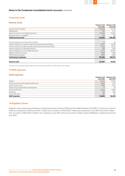# 12 Interest result

# Interest result

|                                                                      | 1 January to 30  | 1 January to 30  |
|----------------------------------------------------------------------|------------------|------------------|
|                                                                      | <b>June 2020</b> | <b>June 2019</b> |
| Interest income on loans <sup>1</sup>                                | 285.468          | 277.541          |
| <b>Modifications</b>                                                 | 559              | 2.174            |
| Interest income on non-trading derivatives                           | 26,298           | 29,442           |
| Negative interest on liabilities                                     | 579              | 328              |
| Total interest income                                                | 312,903          | 309,485          |
|                                                                      |                  |                  |
| Interest expenses on amounts due to banks                            | 32               | 93               |
| Interest expenses on customer deposits and other funds on deposit    | 81.877           | 88,149           |
| Interest expenses on debt securities issued and other borrowed funds | 17.399           | 22.147           |
| Interest expenses on subordinated loans                              | 790              | 1.700            |
| Interest expenses on non-trading derivatives                         | 72.753           | 69,953           |
| Negative interest on assets                                          | 3.695            | 2,848            |
| Other interest expenses                                              | 2.950            | 5.085            |
| <b>Total interest expenses</b>                                       | 179,496          | 189,975          |
|                                                                      |                  |                  |
| Interest result                                                      | 133,407          | 119,510          |

1 Interest income on loans includes interest on loans measured at FVTPL, as this amount is not material.

# 13 Staff expenses

# Staff expenses

|                                               | 1 January to 30  | 1 January to 30  |
|-----------------------------------------------|------------------|------------------|
|                                               | <b>June 2020</b> | <b>June 2019</b> |
| <b>Salaries</b>                               | 30.001           | 28,869           |
| Pension and other staff-related benefit costs | 5.820            | 6.141            |
| Social security costs                         | 3.964            | 4.212            |
| Share-based compensation arrangements         | 10 <sup>°</sup>  | 26               |
| External staff costs                          | 15,333           | 15,981           |
| Education                                     | 479              | 503              |
| Other staff costs                             | 239              | 317              |
| <b>Staff expenses</b>                         | 55,846           | 56,049           |

# 14 Regulatory levies

Regulatory levies represents contributions to Deposit Guarantee Schemes (DGS) and the Single Resolution Fund (SRF). In the first six months of 2020 the contributions to DGS were EUR 7.3 million (first six months of 2019: EUR 6.7 million) and contributions to the SRF were EUR 4.9 million (first six months of 2019: EUR 3.2 million). The contribution to the SRF in the first six months of 2020 comprises NN Bank's contribution for the full year 2020.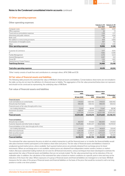# 15 Other operating expenses

# Other operating expenses

|                                          | 1 January to 30<br><b>June 2020</b> | 1 January to 30  |
|------------------------------------------|-------------------------------------|------------------|
|                                          |                                     | <b>June 2019</b> |
| Computer costs                           | 11,617                              | 9.991            |
| Office expenses                          | 50                                  | 74               |
| Travel and accommodation expenses        | 1,318                               | 1,371            |
| Advertising and public relations         | 1,383                               | 1,638            |
| Bank costs                               | 118                                 | 227              |
| Net addition to restructuring provisions | 839                                 | 3,858            |
| Amortisation of intangible assets        | 907                                 | 756              |
| Other                                    | 3.724                               | 3,191            |
| <b>Other operating expenses</b>          | 19,956                              | 21,106           |
|                                          |                                     |                  |
| Customer & Commerce                      | 9.117                               | 9,051            |
| IT                                       | 7,065                               | 8,395            |
| <b>Facility Management</b>               | 3.370                               | 3,223            |
| General Management                       | 3.097                               | 543              |
| Group HR                                 | 1.135                               | 1.405            |
| <b>Shared Service Center Finance</b>     | 676                                 | 821              |
| <b>Total Group Services</b>              | 24,460                              | 23,438           |
| Total other operating expenses           | 44,416                              | 44,544           |

'Other' mainly consists of audit fees and contributions to, amongst others, AFM, DNB and ECB.

# 16 Fair value of financial assets and liabilities

The following table presents the estimated fair value of NN Bank's financial assets and liabilities. Certain balance sheet items are not included in the table, as they do not meet the definition of a financial asset or liability. The aggregation of the fair value presented below does not represent, and should not be construed as representing, the underlying value of NN Bank.

#### Fair value of financial assets and liabilities

|                                                        | <b>Estimated fair</b><br>value |                     | <b>Balance sheet</b><br>value |                     |
|--------------------------------------------------------|--------------------------------|---------------------|-------------------------------|---------------------|
|                                                        | 30 June 2020                   | 31 December<br>2019 | 30 June 2020                  | 31 December<br>2019 |
| <b>Financial assets</b>                                |                                |                     |                               |                     |
| Cash and balances at central banks                     | 1,119,553                      | 1,660,465           | 1,119,553                     | 1,660,465           |
| Amounts due from banks                                 | 498,549                        | 658.432             | 498.549                       | 658,432             |
| Financial assets at fair value through profit or loss: |                                |                     |                               |                     |
| - non-trading derivatives                              | 73.547                         | 88.198              | 73.547                        | 88,198              |
| Investment securities                                  | 1.885.117                      | 2.029.911           | 1.884.523                     | 2,027,326           |
| Loans                                                  | 21,477,819                     | 21,193,804          | 20,837,448                    | 20,003,922          |
| <b>Financial assets</b>                                | 25,054,585                     | 25,630,810          | 24,413,620                    | 24,438,343          |
|                                                        |                                |                     |                               |                     |
| <b>Financial liabilities</b>                           |                                |                     |                               |                     |
| Amounts due to banks                                   | 464.707                        | 313.920             | 466,000                       | 314,053             |
| Customer deposits and other funds on deposit           | 16.275.565                     | 15.964.207          | 15.527.848                    | 15.078.921          |

| Financial liabilities at fair value through profit or loss: |            |            |            |            |
|-------------------------------------------------------------|------------|------------|------------|------------|
| - non-trading derivatives                                   | 140.823    | 335.183    | 140.823    | 335.183    |
| Other borrowed funds                                        | 1.216.538  | 1.272.838  | 1.216.964  | 1,273,000  |
| Debt securities issued                                      | 5.955.434  | 6.390.111  | 5.875.534  | 6.274.411  |
| Subordinated debt                                           | 86.106     | 85.507     | 85.000     | 85.000     |
| <b>Financial liabilities</b>                                | 24,139,173 | 24.361.766 | 23,312,169 | 23,360,568 |

The estimated fair value represents the price at which an orderly transaction to sell the financial asset or to transfer the financial liability would take place between market participants at the balance sheet date (exit price). The fair value of financial assets and liabilities is based on unadjusted quoted market prices, where available. Such quoted market prices are primarily obtained from exchange prices for listed instruments. Where an exchange price is not available, market prices are obtained from independent market vendors, brokers or marketmakers. Because substantial trading markets do not exist for all financial instruments, various techniques have been developed to estimate the approximate fair value of financial assets and liabilities that are not actively traded. The fair value presented may not be indicative of the net realisable value. In addition, the calculation of the estimated fair value is based on market conditions at a specific point in time and may not be indicative of the future fair value. Where exposures of a group of financial assets and financial liabilities are managed on a net basis. NN Bank measures the fair value of the group of financial assets and financial liabilities on the basis of the price that would be received to sell a net long position or settle a net short position.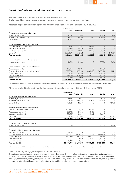

Financial assets and liabilities at fair value and amortised cost The fair value of the financial instruments carried at fair value and amortised cost was determined as follows:

Methods applied in determining the fair value of financial assets and liabilities (30 June 2020)

|                                                           | <b>Balance sheet</b> |                         |                |                    |               |
|-----------------------------------------------------------|----------------------|-------------------------|----------------|--------------------|---------------|
|                                                           | value                | <b>Total fair value</b> | Level 1        | Level <sub>2</sub> | Level 3       |
| Financial assets measured at fair value                   |                      |                         |                |                    |               |
| Non-trading derivatives                                   | 73.547               | 73,547                  | $\Omega$       | 40,284             | 33,263        |
| Investment securities - FVOCI                             | 1,565,761            | 1.565.870               | 122,482        | 1,443,388          | $\mathbf{0}$  |
| Loans - FVTPL                                             | 70,578               | 70,578                  | 0              | $\overline{0}$     | 70,578        |
| Financial assets not measured at fair value               |                      |                         |                |                    |               |
| Cash and balances at central banks <sup>1</sup>           | 1,119,553            | 1,119,553               | 1,119,553      | $\Omega$           | $\mathbf{O}$  |
| Amounts due from banks <sup>1</sup>                       | 498,549              | 498,549                 | 498,549        | $\overline{0}$     | $\mathcal{O}$ |
| Investment securities - AC                                | 318,762              | 319,247                 | 121.278        | 197,969            | $\mathcal{O}$ |
| Loans - AC                                                | 20,766,870           | 21,407,241              | 0              | $\overline{0}$     | 21,407,241    |
| <b>Financial assets</b>                                   | 24,413,620           | 25,054,585              | 1,861,862      | 1,681,641          | 21,511,082    |
| Financial liabilities measured at fair value              |                      |                         |                |                    |               |
| Non-trading derivatives                                   | 140.823              | 140.823                 | $\Omega$       | 107,560            | 33,263        |
| Financial liabilities not measured at fair value          |                      |                         |                |                    |               |
| Amounts due to banks                                      | 466,000              | 464,707                 | $\overline{0}$ | 464,707            | $\Omega$      |
| Customer deposits and other funds on deposit <sup>1</sup> | 15.527.848           | 16.275.565              | 9.580.693      | 6.663.448          | 31,424        |
| Other borrowed funds                                      | 1,216,964            | 1,216,538               | 782,000        | 434.538            | $\Omega$      |
| Debt securities issued                                    | 5,875,534            | 5.955.434               | 4,244,355      | 1,711,079          | $\Omega$      |
| Subordinated debt                                         | 85,000               | 86.106                  | 0              | 86,106             | $\Omega$      |
| <b>Financial liabilities</b>                              | 23,312,169           | 24,139,173              | 14,607,048     | 9,467,438          | 64,687        |

1 Financial assets and liabilities measured at amortized coast that are on demand are classified in Level 1 in the table above. Their fair value approximates the carrying value.

Methods applied in determining the fair value of financial assets and liabilities (31 December 2019)

|                                                           | <b>Balance sheet</b> |                         |            |            |               |
|-----------------------------------------------------------|----------------------|-------------------------|------------|------------|---------------|
|                                                           | value                | <b>Total fair value</b> | Level 1    | Level 2    | Level 3       |
| Financial assets measured at fair value                   |                      |                         |            |            |               |
| Non-trading derivatives                                   | 88.198               | 88.198                  | $\Omega$   | 38.327     | 49,871        |
| Investment securities - FVOCI                             | 1.707.229            | 1,707,607               | 251,025    | 1,456,582  | $\Omega$      |
| Loans - FVTPL                                             | 128,523              | 128,523                 | 0          | $\circ$    | 128,523       |
| Financial assets not measured at fair value               |                      |                         |            |            |               |
| Cash and balances at central banks <sup>1</sup>           | 1.660.465            | 1.660.465               | 1,660,465  | $\circ$    | 0             |
| Amounts due from banks <sup>1</sup>                       | 658.432              | 658,432                 | 658.432    | $\Omega$   | $\mathcal{O}$ |
| Investment securities - AC                                | 320.097              | 322.304                 | 122,187    | 200,117    | $\Omega$      |
| Loans - AC                                                | 19,875,399           | 21.065.281              |            | $\Omega$   | 21,065,281    |
| <b>Financial assets</b>                                   | 24,438,343           | 25,630,810              | 2,692,109  | 1,695,026  | 21,243,675    |
| Financial liabilities measured at fair value              |                      |                         |            |            |               |
| Non-trading derivatives                                   | 335.183              | 335.183                 | $\Omega$   | 285.312    | 49,871        |
| Financial ligbilities not measured at fair value          |                      |                         |            |            |               |
| Amounts due to banks                                      | 314,053              | 313,920                 | $\Omega$   | 313,920    | $\mathbf{0}$  |
| Customer deposits and other funds on deposit <sup>1</sup> | 15,078,921           | 15.964.207              | 9,325,359  | 6.607.736  | 31,112        |
| Other borrowed funds                                      | 1,273,000            | 1,272,838               | 493.000    | 779.838    | $\mathbf{0}$  |
| Debt securities issued                                    | 6.274.411            | 6.390.111               | 4,240,768  | 2.149.343  | $\Omega$      |
| Subordinated debt                                         | 85,000               | 85.507                  | 0          | 85.507     | $\Omega$      |
| <b>Financial liabilities</b>                              | 23,360,568           | 24,361,766              | 14,059,127 | 10,221,656 | 80,983        |

1 Financial assets and liabilities measured at amortized coast that are on demand are classified in Level 1 in the table above. Their fair value approximates the carrying value.

#### Level 1 – (Unadjusted) Quoted prices in active markets

This category includes financial instruments whose fair value is determined directly by reference to published quotes in an active market that NN Bank can access. A financial instrument is regarded as quoted in an active market if quoted prices are readily and regularly available from an exchange, dealer, broker, industry group, pricing service or regulatory agency, and those prices represent actual and regularly occurring market transactions with sufficient frequency and volume to provide reliable pricing information on an ongoing basis.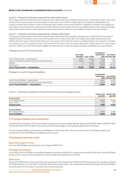

#### Level 2 – Valuation technique supported by observable inputs

This category includes financial instruments whose fair value is determined using a valuation technique (e.g. a model), where inputs in the model are taken from an active market or are observable. If certain inputs in the model are unobservable, the instrument is still classified in this category, provided that the impact of those unobservable inputs elements on the overall valuation is insignificant. Included in this category are items whose value is derived from quoted prices of similar instruments, but for which the prices are modified based on other market observable external data and items whose value is derived from quoted prices, but for which there was insufficient evidence of an active market.

#### Level 3 – Valuation technique supported by unobservable inputs

This category includes financial instruments whose fair value is determined using a valuation technique (e.g. a model) for which more than an insignificant part of the inputs in terms of the overall valuation are not market-observable. This category also includes financial assets and liabilities whose fair value is determined by reference to price quotes, but for which the market is considered inactive. An instrument is classified in its entirety as Level 3 if a significant portion of the instrument's fair value is driven by unobservable inputs. Unobservable in this context means that there is little or no current market data available from which the price at which an orderly transaction would likely occur can be derived.

#### Changes in Level 3 Financial assets

|                                                                   |             |                      | 6 month period |                    |
|-------------------------------------------------------------------|-------------|----------------------|----------------|--------------------|
|                                                                   | Non-tradina |                      | ended 30 June  | Year ended 31      |
|                                                                   | derivatives | <b>Loans - FVTPL</b> |                | 2020 December 2019 |
| Level 3 Financial assets - opening balance                        | 49.871      | 128.523              | 178.394        | 117.316            |
| Amounts recognised in the profit and loss account during the year | $-16.608$   | 7.707                | $-8.901$       | $-1.892$           |
| Additions                                                         |             | 515.959              | 515.959        | 732.228            |
| Sale of assets                                                    |             | $-581.611$           | $-581.611$     | $-669.258$         |
| Level 3 Financial assets - closing balance                        | 33,263      | 70.578               | 103.841        | 178,394            |

#### Changes in Level 3 Financial liabilities

|                                                                   | 6 month period<br>ended 30 June | Year ended 31<br>2020 December 2019 |
|-------------------------------------------------------------------|---------------------------------|-------------------------------------|
| Level 3 Financial liabilities - opening balance                   | 49.871                          | 84.965                              |
| Amounts recognised in the profit and loss account during the year | $-16.608$                       | -35.094                             |
| Level 3 Financial liabilities - closing balance                   | 33,263                          | 49.871                              |

#### Level 3 – Amounts recognised in the profit and loss account during the year

|                              |                  | 1 January to 30 1 January to 30 |
|------------------------------|------------------|---------------------------------|
|                              | <b>June 2020</b> | <b>June 2019</b>                |
| Financial assets             |                  |                                 |
| Non-trading derivatives      | $-16,608$        | $-15,946$                       |
| Loans - FVTPL                | 7.707            | 1.120                           |
| <b>Financial assets</b>      | $-8.901$         | $-14,826$                       |
|                              |                  |                                 |
| <b>Financial liabilities</b> |                  |                                 |

| Non-<br>tradına derivme<br>vatives               | 10000<br>16.606 | $\sim$ 4 $\sim$<br>JДЬ |
|--------------------------------------------------|-----------------|------------------------|
| .<br><b>Financial</b><br>.<br><b>Liabilities</b> | 16.608          | QAG<br>$\rightarrow$   |
|                                                  |                 |                        |

#### 17 Contingent liabilities and commitments

Compared with 31 December 2019, the outstanding 'mortgage and consumer lending offerings' decreased by EUR 216 million to EUR 900 million (31 December 2019: EUR 1,116 million). There were no other material changes in the contingent liabilities and commitments.

For the contingent liabilities and commitments of NN Bank at 31 December 2019, reference is made to Note 32 'Contingent liabilities and commitments' of the 2019 NN Bank Consolidated annual accounts.

#### 18 Subsequent and other events

#### Repurchase Hypenn IV notes

On 17 July 2020 NN Bank repurchased the notes of Hypenn RMBS IV B.V.

#### Soft Bullet Covered Bond

In June 2020, the new Soft Bullet Covered Bond programme launched to benefit from a larger investor demand for this type of funding. NN Bank has done a first issuance under the programme on 30 June 2020 with settlement on 8 July 2020.

#### IBOR reform

As part of the IBOR reform, major Central Clearing Counterparties have changed from EONIA to €STR discounting for the calculation of cleared OTC EUR derivatives on 27 July 2020. In connection with this discounting switch, cash compensation payments have been received by NN Bank as compensation for the change in net present value of these derivatives.

Nationale-Nederlanden Bank N.V. Condensed consolidated interim financial information for the period ended 30 June 2020 Unaudited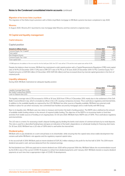

#### Migration of the former Delta Lloyd Bank

The migration of the Delta Lloyd customers with a Delta Lloyd Bank mortgage to NN Bank systems has been completed in July 2020.

#### **Woonnu**

In August 2020, Woonnu B.V. launched its new mortgage label Woonnu and has started to originate loans.

#### 19 Capital and liquidity management

#### Capital adequacy

Capital position

|                                           |              | 31 December |
|-------------------------------------------|--------------|-------------|
| Amounts in millions of euros              | 30 June 2020 | 2019        |
| Common Equity Tier 1 Capital <sup>1</sup> | 993          | 926         |
| Total capital <sup>1</sup>                | 1,078        | 1.011       |
| <b>Risk Weighted Assets</b>               | 5.947        | 5.894       |
| Common Equity Tier 1 ratio <sup>1</sup>   | 16.7%        | 15.7%       |
| Total capital ratio <sup>1</sup>          | 18.1%        | 17 2%       |

1 If DNB approves the addition of the net result for the first half year 2020, the CET1 ratio will be 17.7% and the total capital ratio will be 19.2%.

Despite the balance sheet increase, NN Bank has maintained a solid capital position with a Capital Requirements Regulation (CRR) total capital ratio of 18.1% (31 December 2019: 17.2%) and a CRR CET1 ratio of 16.7% as of 30 June 2020 (31 December 2019: 15.7%). Common Equity Tier 1 Capital amounts to EUR 993 million (31 December 2019: EUR 926 million) and has increased driven by internal capital generation in the form of retained profit.

#### Liquidity adequacy

During 2020, NN Bank maintained an adequate liquidity position.

|                                 |              | 31 December |
|---------------------------------|--------------|-------------|
|                                 | 30 June 2020 | 2019        |
| Liquidity Coverage Ratio (LCR)  | 193%         | 173%        |
| Net Stable Funding Ratio (NSFR) | 130%         | 132%        |
| Loan-to-Deposit ratio (LtD)     | 130%         | 128%        |

The liquidity coverage ratio (LCR) increased to 193% at 30 June 2020 from 173% at 31 December 2019, mainly due to the settlement of the Soft Bullet Covered Bond in July, which is included as inflow in the LCR, causing a temporary increase. This is well above regulatory and internal limits. In addition to the available liquidity as captured by the LCR, NN Bank has other sources of liquidity available. NN Bank has external credit facilities in place for use when necessary: two committed loan facilities secured by mortgages and a credit facility with NN Group.

Next to its liquidity ratio, NN Bank uses two ratios to measure and monitor the bank's funding position. The NSFR ratio is defined as the amount of available stable funding relative to the amount of required stable funding. The objective of the NSFR is to incentivise banks to fund their activities from stable sources of funding on an ongoing basis. On 30 June 2020, NN Bank had a NSFR ratio of 130%. This is well above regulatory and internal limits.

The LtD ratio is a metric for assessing a bank's deposit funding gap by dividing the banks total volume of commercial loans by its retail deposits. This ratio is used for a diversified funding base and gives an indication of the bank's dependence on wholesale funding for financing client loans. On 30 June 2020, NN Bank has a LtD ratio of 130% which is well within the internal limit.

#### Dividend policy

NN Bank aims to pay dividends on a semi-annual basis to its shareholder, while ensuring that the capital ratios show stable development that remains well within NN Bank's risk appetite and the regulatory required capital ratios.

In the second half of 2019, NN Bank paid an interim dividend of EUR 26.2 million relating to the profit for the first half of 2019. The 2019 interim dividend was paid in cash, and was deducted from the retained earnings.

No final dividend over 2019 was paid and no interim dividend over 2020 will be proposed. With this, NN Bank follows the recommendation issued by the ECB in view of the current COVID-19 situation to refrain from dividend payments until 1 January 2021. NN Bank intends to resume dividend payments at such time that is appropriate in light of COVID-19 developments.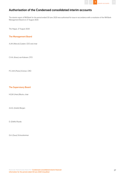

# Authorisation of the Condensed consolidated interim accounts

The interim report of NN Bank for the period ended 30 June 2020 was authorised for issue in accordance with a resolution of the NN Bank Management Board on 27 August 2020.

The Hague, 27 August 2020

# The Management Board

A.J.M. (Marcel) Zuidam, CEO and chair

C.H.A. (Kees) van Kalveen, CFO

P.C.A.M. (Pieter) Emmen, CRO

# The Supervisory Board

H.G.M. (Hein) Blocks, chair

A.A.G. (André) Bergen

D. (Delfin) Rueda

G.A. (Guus) Schoorlemmer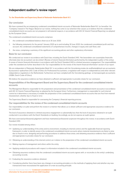# Independent auditor's review report

#### To: the Shareholder and Supervisory Board of Nationale-Nederlanden Bank N.V.

#### Our conclusion

We have reviewed the accompanying condensed consolidated interim accounts of Nationale-Nederlanden Bank N.V. (or hereafter: the "Company") based in The Hague. Based on our review, nothing has come to our attention that causes us to believe that the condensed consolidated interim accounts are not prepared, in all material respects, in accordance with IAS 34 'Interim Financial Reporting' as adopted by the European Union.

The condensed consolidated interim accounts comprises:

- 1. the condensed consolidated balance sheet as at 30 June 2020;
- 2. the following statements for the period 1 January 2020 up to and including 30 June 2020: the condensed consolidated profit and loss account, the condensed consolidated statements of comprehensive income, changes in equity and cash flows; and
- 3. the notes, comprising a summary of the significant accounting policies and other explanatory information.

#### Basis for our conclusion

We conducted our review in accordance with Dutch law, including the Dutch Standard 2410, 'Het beoordelen van tussentijdse financiële informatie door de accountant van de entiteit' (Review of interim financial information performed by the independent auditor of the entity). A review of interim financial information in accordance with the Dutch Standard 2410 is a limited assurance engagement. Our responsibilities under this standard are further described in the 'Our responsibilities for the review of the interim financial information' section of our report.

We are independent of Nationale-Nederlanden Bank N.V. in accordance with the Verordening inzake de onafhankelijkheid van accountants bij assurance-opdrachten (ViO, Code of Ethics for Professional Accountants, a regulation with respect to independence) and other relevant independence regulations in the Netherlands. Furthermore we have complied with the Verordening gedrags- en beroepsregels accountants (VGBA, Dutch Code of Ethics).

We believe the assurance evidence we have obtained is sufficient and appropriate to provide a basis for our conclusion.

#### Responsibilities of the Management Board and the Supervisory Board for the condensed consolidated interim accounts

The Management Board is responsible for the preparation and presentation of the condensed consolidated interim accounts in accordance with IAS 34 'Interim Financial Reporting' as adopted by the European Union. Furthermore, management is responsible for such internal control as it determines is necessary to enable the preparation of the condensed consolidated interim accounts that are free from material misstatement, whether due to fraud or error.

The Supervisory Board is responsible for overseeing the Company's financial reporting process.

Our responsibilities for the review of the condensed consolidated interim accounts

Our responsibility is to plan and perform the review in a manner that allows us to obtain sufficient and appropriate assurance evidence for our conclusion.

The level of assurance obtained in a limited assurance engagement is substantially less than the level of assurance obtained in an audit conducted in accordance with the Dutch Standards on Auditing. Accordingly, we do not express an audit opinion.

We have exercised professional judgement and have maintained professional scepticism throughout the review, in accordance with Dutch Standard 2410.

Our review included among others:

- Updating our understanding of the entity and its environment, including its internal control, and the applicable financial reporting framework, in order to identify areas in the condensed consolidated interim accounts where material misstatements are likely to arise due to fraud or error, designing and performing procedures to address those areas, and obtaining assurance evidence that is sufficient and appropriate to provide a basis for our conclusion;
- Obtaining an understanding of the internal control, as it relates to the preparation of the condensed consolidated interim accounts;
- Making inquiries of management and others within the entity;
- Applying analytical procedures with respect to information included in the condensed consolidated interim accounts;
- Obtaining assurance evidence that the condensed consolidated interim accounts agrees with, or reconciles to the entity's underlying accounting records;
- Evaluating the assurance evidence obtained;
- Considering whether there have been any changes in accounting principles or in the methods of applying them and whether any new transactions have necessitated the application of a new accounting principle;

Nationale-Nederlanden Bank N.V. Condensed consolidated interim financial information for the period ended 30 June 2020 Unaudited

4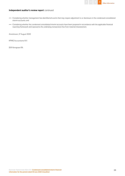

# Independent auditor's review report continued

- Considering whether management has identified all events that may require adjustment to or disclosure in the condensed consolidated interim accounts; and
- Considering whether the condensed consolidated interim accounts have been prepared in accordance with the applicable financial reporting framework and represents the underlying transactions free from material misstatement.

Amstelveen, 27 August 2020

KPMG Accountants N.V.

B.M Herngreen RA